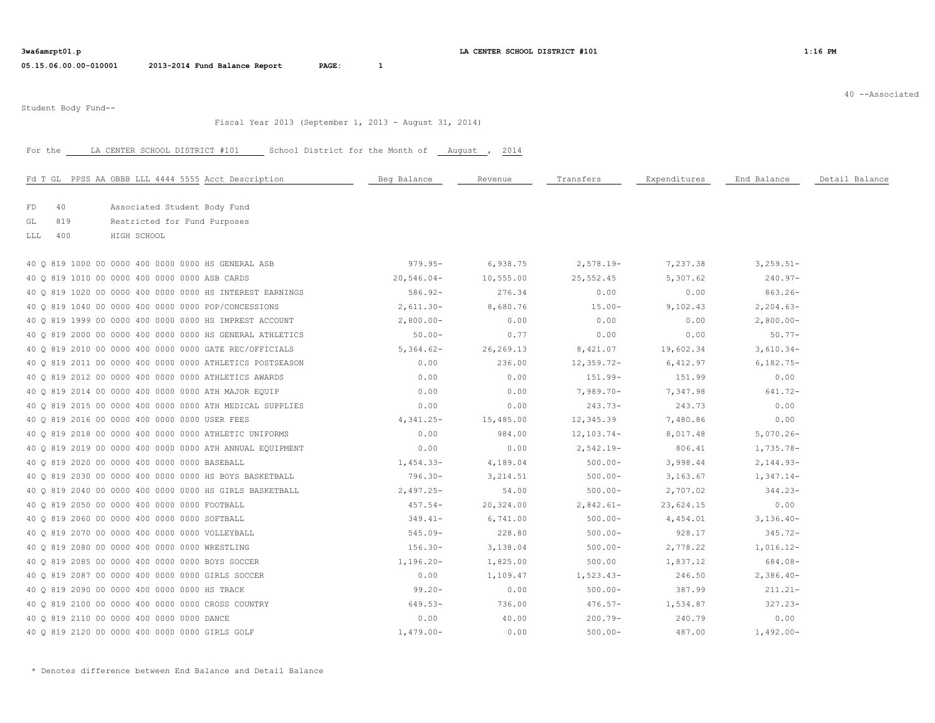40 --Associated

Student Body Fund--

### Fiscal Year 2013 (September 1, 2013 - August 31, 2014)

# For the LA CENTER SCHOOL DISTRICT #101 School District for the Month of \_\_ August , 2014

| Fd T GL PPSS AA OBBB LLL 4444 5555 Acct Description      | Beg Balance  | Revenue     | Transfers      | Expenditures | End Balance   | Detail Balance |
|----------------------------------------------------------|--------------|-------------|----------------|--------------|---------------|----------------|
|                                                          |              |             |                |              |               |                |
| FD<br>40<br>Associated Student Body Fund                 |              |             |                |              |               |                |
| 819<br>GL<br>Restricted for Fund Purposes                |              |             |                |              |               |                |
| 400<br>LLL<br>HIGH SCHOOL                                |              |             |                |              |               |                |
| 40 0 819 1000 00 0000 400 0000 0000 HS GENERAL ASB       | $979.95 -$   | 6,938.75    | $2,578.19-$    | 7,237.38     | $3, 259.51 -$ |                |
| 40 0 819 1010 00 0000 400 0000 0000 ASB CARDS            | $20,546.04-$ | 10,555.00   | 25,552.45      | 5,307.62     | $240.97 -$    |                |
| 40 0 819 1020 00 0000 400 0000 0000 HS INTEREST EARNINGS | $586.92 -$   | 276.34      | 0.00           | 0.00         | $863.26 -$    |                |
| 40 0 819 1040 00 0000 400 0000 0000 POP/CONCESSIONS      | $2,611.30-$  | 8,680.76    | $15.00 -$      | 9,102.43     | $2, 204.63-$  |                |
| 40 O 819 1999 00 0000 400 0000 0000 HS IMPREST ACCOUNT   | $2,800.00-$  | 0.00        | 0.00           | 0.00         | $2,800.00-$   |                |
| 40 Q 819 2000 00 0000 400 0000 0000 HS GENERAL ATHLETICS | $50.00 -$    | 0.77        | 0.00           | 0.00         | $50.77 -$     |                |
| 40 0 819 2010 00 0000 400 0000 0000 GATE REC/OFFICIALS   | $5,364.62-$  | 26, 269. 13 | 8,421.07       | 19,602.34    | $3,610.34-$   |                |
| 40 0 819 2011 00 0000 400 0000 0000 ATHLETICS POSTSEASON | 0.00         | 236.00      | $12,359.72-$   | 6,412.97     | $6,182.75-$   |                |
| 40 0 819 2012 00 0000 400 0000 0000 ATHLETICS AWARDS     | 0.00         | 0.00        | $151.99-$      | 151.99       | 0.00          |                |
| 40 0 819 2014 00 0000 400 0000 0000 ATH MAJOR EQUIP      | 0.00         | 0.00        | $7,989.70-$    | 7,347.98     | $641.72 -$    |                |
| 40 0 819 2015 00 0000 400 0000 0000 ATH MEDICAL SUPPLIES | 0.00         | 0.00        | $243.73-$      | 243.73       | 0.00          |                |
| 40 0 819 2016 00 0000 400 0000 0000 USER FEES            | $4,341.25-$  | 15,485.00   | 12,345.39      | 7,480.86     | 0.00          |                |
| 40 0 819 2018 00 0000 400 0000 0000 ATHLETIC UNIFORMS    | 0.00         | 984.00      | $12, 103.74 -$ | 8,017.48     | $5,070.26 -$  |                |
| 40 Q 819 2019 00 0000 400 0000 0000 ATH ANNUAL EQUIPMENT | 0.00         | 0.00        | $2,542.19-$    | 806.41       | $1,735.78-$   |                |
| 40 0 819 2020 00 0000 400 0000 0000 BASEBALL             | $1,454.33-$  | 4,189.04    | $500.00 -$     | 3,998.44     | $2,144.93-$   |                |
| 40 0 819 2030 00 0000 400 0000 0000 HS BOYS BASKETBALL   | $796.30 -$   | 3, 214.51   | $500.00 -$     | 3,163.67     | $1,347.14-$   |                |
| 40 0 819 2040 00 0000 400 0000 0000 HS GIRLS BASKETBALL  | $2,497.25-$  | 54.00       | $500.00 -$     | 2,707.02     | $344.23-$     |                |
| 40 0 819 2050 00 0000 400 0000 0000 FOOTBALL             | $457.54-$    | 20,324.00   | $2,842.61-$    | 23,624.15    | 0.00          |                |
| 40 Q 819 2060 00 0000 400 0000 0000 SOFTBALL             | 349.41-      | 6,741.00    | $500.00 -$     | 4,454.01     | $3,136.40-$   |                |
| 40 Q 819 2070 00 0000 400 0000 0000 VOLLEYBALL           | 545.09-      | 228.80      | $500.00 -$     | 928.17       | $345.72 -$    |                |
| 40 0 819 2080 00 0000 400 0000 0000 WRESTLING            | $156.30 -$   | 3,138.04    | $500.00 -$     | 2,778.22     | $1,016.12-$   |                |
| 40 0 819 2085 00 0000 400 0000 0000 BOYS SOCCER          | $1,196.20 -$ | 1,825.00    | 500.00         | 1,837.12     | $684.08 -$    |                |
| 40 0 819 2087 00 0000 400 0000 0000 GIRLS SOCCER         | 0.00         | 1,109.47    | $1,523.43-$    | 246.50       | $2,386.40-$   |                |
| 40 0 819 2090 00 0000 400 0000 0000 HS TRACK             | $99.20 -$    | 0.00        | $500.00 -$     | 387.99       | $211.21 -$    |                |
| 40 Q 819 2100 00 0000 400 0000 0000 CROSS COUNTRY        | $649.53-$    | 736.00      | $476.57 -$     | 1,534.87     | $327.23 -$    |                |
| 40 0 819 2110 00 0000 400 0000 0000 DANCE                | 0.00         | 40.00       | $200.79 -$     | 240.79       | 0.00          |                |
| 40 Q 819 2120 00 0000 400 0000 0000 GIRLS GOLF           | $1,479.00 -$ | 0.00        | $500.00 -$     | 487.00       | $1,492.00 -$  |                |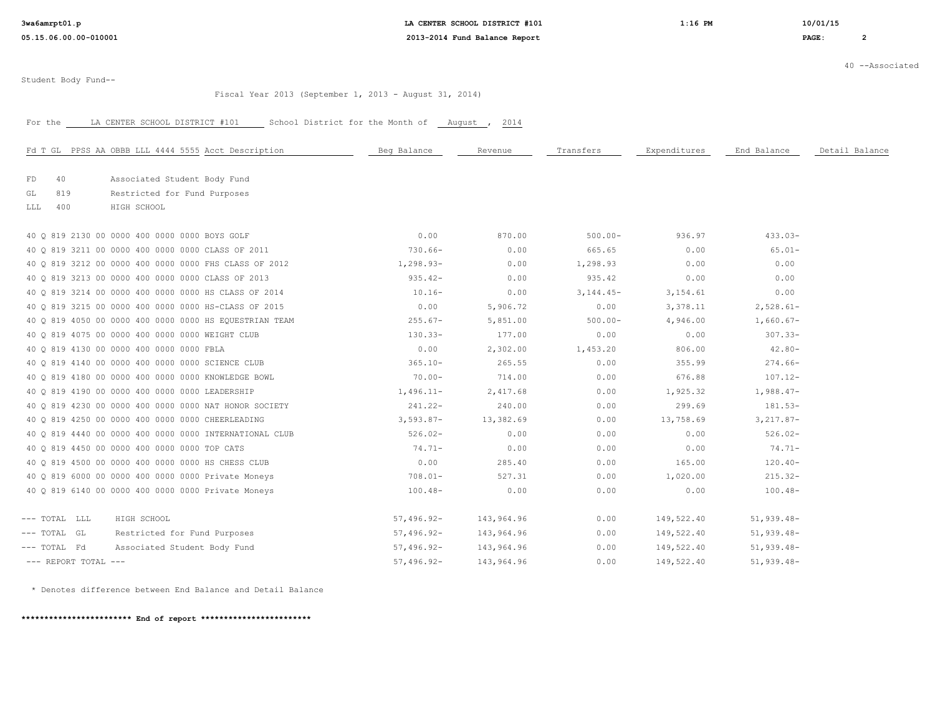**3wa6amrpt01.p LA CENTER SCHOOL DISTRICT #101 1:16 PM 10/01/15**

40 --Associated

Student Body Fund--

Fiscal Year 2013 (September 1, 2013 - August 31, 2014)

For the CENTER SCHOOL DISTRICT #101 School District for the Month of August , 2014

| Fd T GL PPSS AA OBBB LLL 4444 5555 Acct Description    | Beg Balance  | Revenue    | Transfers   | Expenditures | End Balance  | Detail Balance |
|--------------------------------------------------------|--------------|------------|-------------|--------------|--------------|----------------|
| Associated Student Body Fund<br>40<br>FD               |              |            |             |              |              |                |
| Restricted for Fund Purposes<br>GL<br>819              |              |            |             |              |              |                |
| 400<br>LLL<br>HIGH SCHOOL                              |              |            |             |              |              |                |
| 40 0 819 2130 00 0000 400 0000 0000 BOYS GOLF          | 0.00         | 870.00     | $500.00 -$  | 936.97       | $433.03-$    |                |
| 40 0 819 3211 00 0000 400 0000 0000 CLASS OF 2011      | $730.66-$    | 0.00       | 665.65      | 0.00         | $65.01 -$    |                |
| 40 0 819 3212 00 0000 400 0000 0000 FHS CLASS OF 2012  | $1,298.93-$  | 0.00       | 1,298.93    | 0.00         | 0.00         |                |
| 40 Q 819 3213 00 0000 400 0000 0000 CLASS OF 2013      | $935.42 -$   | 0.00       | 935.42      | 0.00         | 0.00         |                |
| 40 O 819 3214 00 0000 400 0000 0000 HS CLASS OF 2014   | $10.16-$     | 0.00       | $3,144.45-$ | 3,154.61     | 0.00         |                |
| 40 0 819 3215 00 0000 400 0000 0000 HS-CLASS OF 2015   | 0.00         | 5,906.72   | 0.00        | 3,378.11     | $2,528.61-$  |                |
| 40 Q 819 4050 00 0000 400 0000 0000 HS EQUESTRIAN TEAM | $255.67-$    | 5,851.00   | $500.00 -$  | 4,946.00     | $1,660.67-$  |                |
| 40 Q 819 4075 00 0000 400 0000 0000 WEIGHT CLUB        | $130.33-$    | 177.00     | 0.00        | 0.00         | $307.33 -$   |                |
| 40 Q 819 4130 00 0000 400 0000 0000 FBLA               | 0.00         | 2,302.00   | 1,453.20    | 806.00       | $42.80 -$    |                |
| 40 Q 819 4140 00 0000 400 0000 0000 SCIENCE CLUB       | $365.10 -$   | 265.55     | 0.00        | 355.99       | $274.66-$    |                |
| 40 0 819 4180 00 0000 400 0000 0000 KNOWLEDGE BOWL     | $70.00 -$    | 714.00     | 0.00        | 676.88       | $107.12 -$   |                |
| 40 Q 819 4190 00 0000 400 0000 0000 LEADERSHIP         | $1,496.11-$  | 2,417.68   | 0.00        | 1,925.32     | $1,988.47-$  |                |
| 40 0 819 4230 00 0000 400 0000 0000 NAT HONOR SOCIETY  | $241.22 -$   | 240.00     | 0.00        | 299.69       | $181.53-$    |                |
| 40 0 819 4250 00 0000 400 0000 0000 CHEERLEADING       | $3,593.87-$  | 13,382.69  | 0.00        | 13,758.69    | $3,217.87-$  |                |
| 40 0 819 4440 00 0000 400 0000 0000 INTERNATIONAL CLUB | $526.02-$    | 0.00       | 0.00        | 0.00         | $526.02-$    |                |
| 40 Q 819 4450 00 0000 400 0000 0000 TOP CATS           | $74.71-$     | 0.00       | 0.00        | 0.00         | $74.71-$     |                |
| 40 0 819 4500 00 0000 400 0000 0000 HS CHESS CLUB      | 0.00         | 285.40     | 0.00        | 165.00       | $120.40 -$   |                |
| 40 Q 819 6000 00 0000 400 0000 0000 Private Moneys     | $708.01 -$   | 527.31     | 0.00        | 1,020.00     | $215.32 -$   |                |
| 40 Q 819 6140 00 0000 400 0000 0000 Private Moneys     | $100.48-$    | 0.00       | 0.00        | 0.00         | $100.48 -$   |                |
|                                                        |              |            |             |              |              |                |
| HIGH SCHOOL<br>--- TOTAL LLL                           | $57,496.92-$ | 143,964.96 | 0.00        | 149,522.40   | $51,939.48-$ |                |
| $---$ TOTAL GL<br>Restricted for Fund Purposes         | $57,496.92-$ | 143,964.96 | 0.00        | 149,522.40   | $51,939.48-$ |                |
| Associated Student Body Fund<br>--- TOTAL Fd           | $57,496.92-$ | 143,964.96 | 0.00        | 149,522.40   | $51,939.48-$ |                |
| $---$ REPORT TOTAL $---$                               | $57,496.92-$ | 143,964.96 | 0.00        | 149,522.40   | $51,939.48-$ |                |

\* Denotes difference between End Balance and Detail Balance

**\*\*\*\*\*\*\*\*\*\*\*\*\*\*\*\*\*\*\*\*\*\*\*\* End of report \*\*\*\*\*\*\*\*\*\*\*\*\*\*\*\*\*\*\*\*\*\*\*\***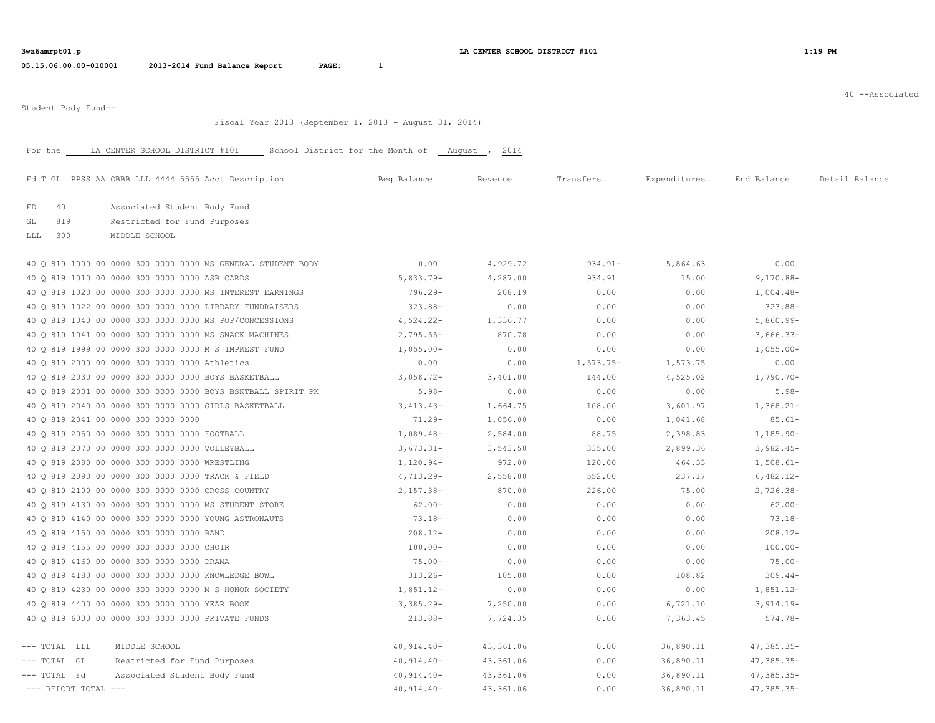| 3wa6amrpt01.p |  |  |
|---------------|--|--|
|---------------|--|--|

**3wa6amrpt01.pdf 1:19 PM 1:19 PM 1:19 PM** 

40 --Associated

Student Body Fund--

## Fiscal Year 2013 (September 1, 2013 - August 31, 2014)

## For the LA CENTER SCHOOL DISTRICT #101 School District for the Month of Laugust , 2014

| Fd T GL PPSS AA OBBB LLL 4444 5555 Acct Description         | Beg Balance  | Revenue   | Transfers   | Expenditures | End Balance  | Detail Balance |
|-------------------------------------------------------------|--------------|-----------|-------------|--------------|--------------|----------------|
| 40<br>FD<br>Associated Student Body Fund                    |              |           |             |              |              |                |
| 819<br>GL<br>Restricted for Fund Purposes                   |              |           |             |              |              |                |
| 300<br>MIDDLE SCHOOL<br>LLL                                 |              |           |             |              |              |                |
|                                                             |              |           |             |              |              |                |
| 40 Q 819 1000 00 0000 300 0000 0000 MS GENERAL STUDENT BODY | 0.00         | 4,929.72  | $934.91 -$  | 5,864.63     | 0.00         |                |
| 40 0 819 1010 00 0000 300 0000 0000 ASB CARDS               | $5,833.79-$  | 4,287.00  | 934.91      | 15.00        | $9,170.88 -$ |                |
| 40 0 819 1020 00 0000 300 0000 0000 MS INTEREST EARNINGS    | $796.29 -$   | 208.19    | 0.00        | 0.00         | $1,004.48-$  |                |
| 40 0 819 1022 00 0000 300 0000 0000 LIBRARY FUNDRAISERS     | $323.88-$    | 0.00      | 0.00        | 0.00         | $323.88 -$   |                |
| 40 0 819 1040 00 0000 300 0000 0000 MS POP/CONCESSIONS      | $4,524.22-$  | 1,336.77  | 0.00        | 0.00         | $5,860.99 -$ |                |
| 40 0 819 1041 00 0000 300 0000 0000 MS SNACK MACHINES       | $2,795.55 -$ | 870.78    | 0.00        | 0.00         | $3,666.33-$  |                |
| 40 Q 819 1999 00 0000 300 0000 0000 M S IMPREST FUND        | $1,055.00-$  | 0.00      | 0.00        | 0.00         | $1,055.00-$  |                |
| 40 Q 819 2000 00 0000 300 0000 0000 Athletics               | 0.00         | 0.00      | $1,573.75-$ | 1,573.75     | 0.00         |                |
| 40 0 819 2030 00 0000 300 0000 0000 BOYS BASKETBALL         | $3,058.72-$  | 3,401.00  | 144.00      | 4,525.02     | $1,790.70 -$ |                |
| 40 0 819 2031 00 0000 300 0000 0000 BOYS BSKTBALL SPIRIT PK | $5.98-$      | 0.00      | 0.00        | 0.00         | $5.98-$      |                |
| 40 Q 819 2040 00 0000 300 0000 0000 GIRLS BASKETBALL        | $3,413.43-$  | 1,664.75  | 108.00      | 3,601.97     | $1,368.21-$  |                |
| 40 0 819 2041 00 0000 300 0000 0000                         | $71.29 -$    | 1,056.00  | 0.00        | 1,041.68     | $85.61 -$    |                |
| 40 0 819 2050 00 0000 300 0000 0000 FOOTBALL                | $1,089.48-$  | 2,584.00  | 88.75       | 2,398.83     | $1,185.90-$  |                |
| 40 Q 819 2070 00 0000 300 0000 0000 VOLLEYBALL              | $3,673.31 -$ | 3,543.50  | 335.00      | 2,899.36     | $3,982.45-$  |                |
| 40 0 819 2080 00 0000 300 0000 0000 WRESTLING               | $1,120.94-$  | 972.00    | 120.00      | 464.33       | $1,508.61-$  |                |
| 40 0 819 2090 00 0000 300 0000 0000 TRACK & FIELD           | $4,713.29-$  | 2,558.00  | 552.00      | 237.17       | $6,482.12-$  |                |
| 40 0 819 2100 00 0000 300 0000 0000 CROSS COUNTRY           | $2,157.38-$  | 870.00    | 226.00      | 75.00        | $2,726.38-$  |                |
| 40 Q 819 4130 00 0000 300 0000 0000 MS STUDENT STORE        | $62.00 -$    | 0.00      | 0.00        | 0.00         | $62.00 -$    |                |
| 40 Q 819 4140 00 0000 300 0000 0000 YOUNG ASTRONAUTS        | $73.18-$     | 0.00      | 0.00        | 0.00         | $73.18 -$    |                |
| 40 0 819 4150 00 0000 300 0000 0000 BAND                    | $208.12 -$   | 0.00      | 0.00        | 0.00         | $208.12 -$   |                |
| 40 0 819 4155 00 0000 300 0000 0000 CHOIR                   | $100.00 -$   | 0.00      | 0.00        | 0.00         | $100.00 -$   |                |
| 40 0 819 4160 00 0000 300 0000 0000 DRAMA                   | $75.00 -$    | 0.00      | 0.00        | 0.00         | $75.00 -$    |                |
| 40 0 819 4180 00 0000 300 0000 0000 KNOWLEDGE BOWL          | $313.26-$    | 105.00    | 0.00        | 108.82       | $309.44-$    |                |
| 40 O 819 4230 00 0000 300 0000 0000 M S HONOR SOCIETY       | $1,851.12-$  | 0.00      | 0.00        | 0.00         | $1,851.12-$  |                |
| 40 Q 819 4400 00 0000 300 0000 0000 YEAR BOOK               | $3,385.29 -$ | 7,250.00  | 0.00        | 6,721.10     | $3,914.19-$  |                |
| 40 Q 819 6000 00 0000 300 0000 0000 PRIVATE FUNDS           | $213.88-$    | 7,724.35  | 0.00        | 7,363.45     | $574.78-$    |                |
| --- TOTAL LLL<br>MIDDLE SCHOOL                              | $40,914.40-$ | 43,361.06 | 0.00        | 36,890.11    | $47,385.35-$ |                |
| --- TOTAL GL<br>Restricted for Fund Purposes                | $40,914.40-$ | 43,361.06 | 0.00        | 36,890.11    | $47,385.35-$ |                |
| --- TOTAL Fd<br>Associated Student Body Fund                | $40,914.40-$ | 43,361.06 | 0.00        | 36,890.11    | $47,385.35-$ |                |
| $---$ REPORT TOTAL $---$                                    | $40,914.40-$ | 43,361.06 | 0.00        | 36,890.11    | $47,385.35-$ |                |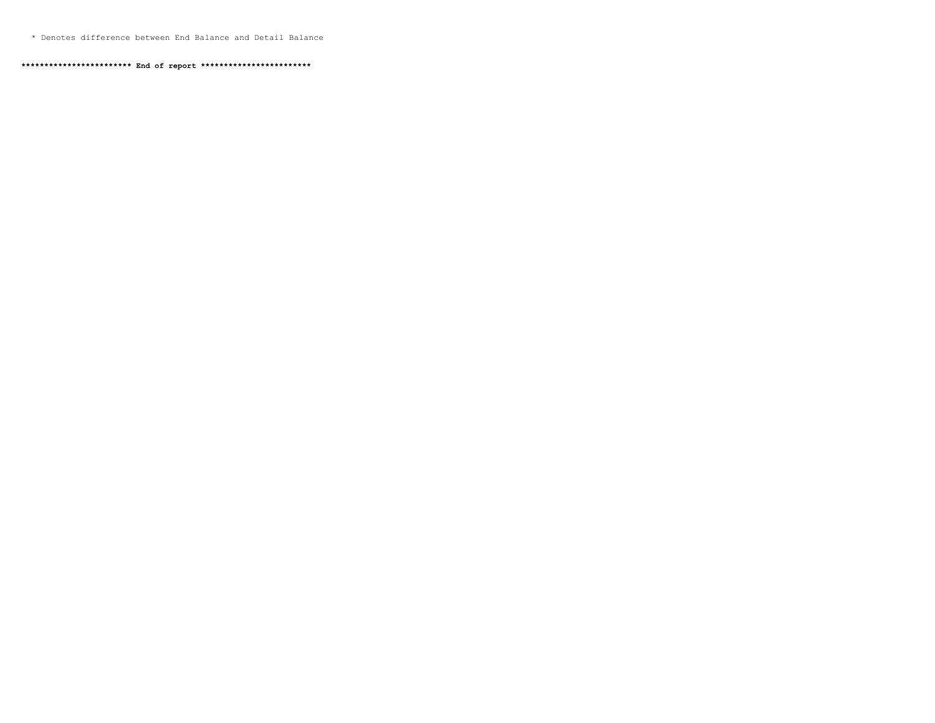\* Denotes difference between End Balance and Detail Balance

**\*\*\*\*\*\*\*\*\*\*\*\*\*\*\*\*\*\*\*\*\*\*\*\* End of report \*\*\*\*\*\*\*\*\*\*\*\*\*\*\*\*\*\*\*\*\*\*\*\***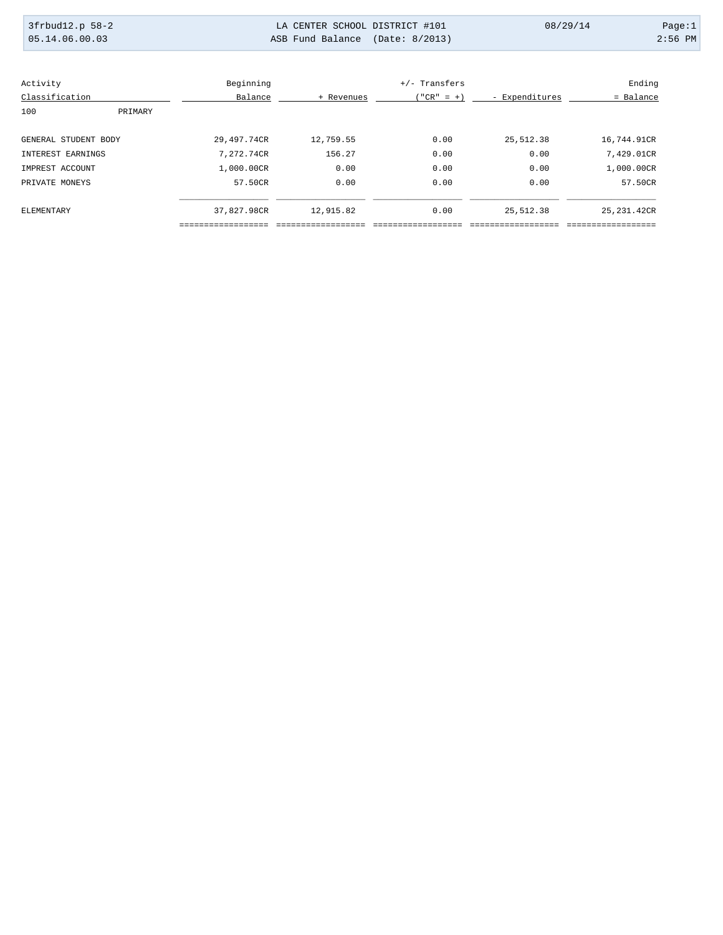| 3frbud12.p 58-2<br>05.14.06.00.03 | LA CENTER SCHOOL DISTRICT #101<br>ASB Fund Balance (Date: 8/2013) | 08/29/14 | Page:1<br>$2:56$ PM |
|-----------------------------------|-------------------------------------------------------------------|----------|---------------------|
|                                   |                                                                   |          |                     |

| Activity             |         | Beginning   |            | +/- Transfers |                | Ending       |
|----------------------|---------|-------------|------------|---------------|----------------|--------------|
| Classification       |         | Balance     | + Revenues | $("CR" = +)$  | - Expenditures | = Balance    |
| 100                  | PRIMARY |             |            |               |                |              |
| GENERAL STUDENT BODY |         | 29,497.74CR | 12,759.55  | 0.00          | 25,512.38      | 16,744.91CR  |
| INTEREST EARNINGS    |         | 7,272.74CR  | 156.27     | 0.00          | 0.00           | 7,429.01CR   |
| IMPREST ACCOUNT      |         | 1,000.00CR  | 0.00       | 0.00          | 0.00           | 1,000.00CR   |
| PRIVATE MONEYS       |         | 57.50CR     | 0.00       | 0.00          | 0.00           | 57.50CR      |
| ELEMENTARY           |         | 37,827.98CR | 12,915.82  | 0.00          | 25,512.38      | 25, 231.42CR |
|                      |         |             |            |               |                |              |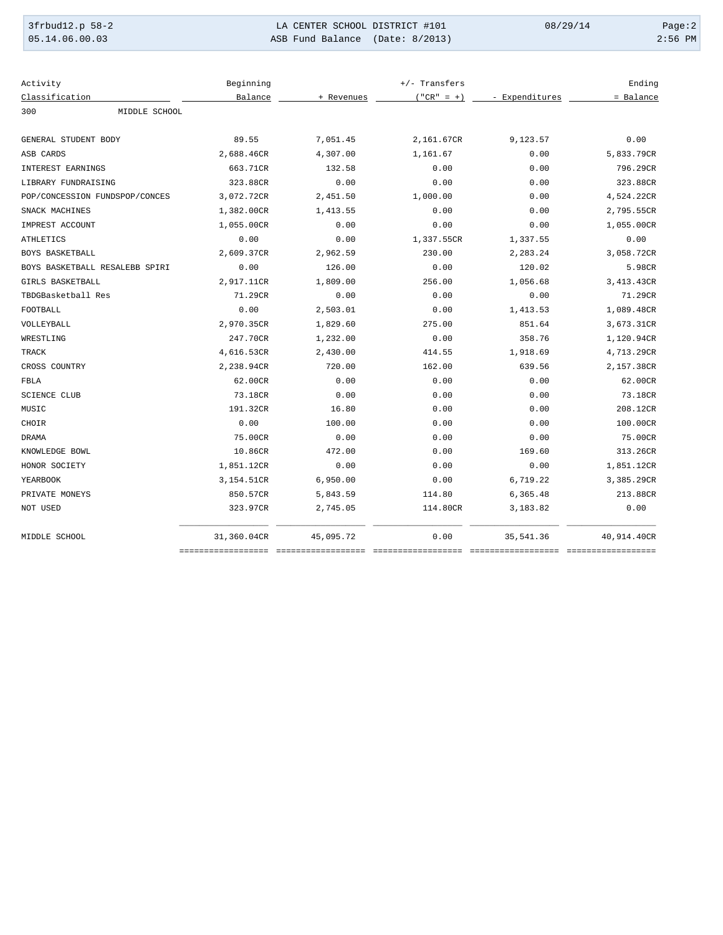| 3frbud12.p 58-2 | LA CENTER SCHOOL DISTRICT #101  | 08/29/14 | Page:2    |
|-----------------|---------------------------------|----------|-----------|
| 05.14.06.00.03  | ASB Fund Balance (Date: 8/2013) |          | $2:56$ PM |

| Activity                       | Beginning   |            | $+/-$ Transfers |                | Ending             |
|--------------------------------|-------------|------------|-----------------|----------------|--------------------|
| Classification                 | Balance     | + Revenues | $("CR" = +)$    | - Expenditures | = Balance          |
| MIDDLE SCHOOL<br>300           |             |            |                 |                |                    |
| GENERAL STUDENT BODY           | 89.55       | 7,051.45   | 2,161.67CR      | 9,123.57       | 0.00               |
| ASB CARDS                      | 2,688.46CR  | 4,307.00   | 1,161.67        | 0.00           | 5,833.79CR         |
| INTEREST EARNINGS              | 663.71CR    | 132.58     | 0.00            | 0.00           | 796.29CR           |
| LIBRARY FUNDRAISING            | 323.88CR    | 0.00       | 0.00            | 0.00           | 323.88CR           |
| POP/CONCESSION FUNDSPOP/CONCES | 3,072.72CR  | 2,451.50   | 1,000.00        | 0.00           | 4,524.22CR         |
| SNACK MACHINES                 | 1,382.00CR  | 1,413.55   | 0.00            | 0.00           | 2,795.55CR         |
| IMPREST ACCOUNT                | 1,055.00CR  | 0.00       | 0.00            | 0.00           | 1,055.00CR         |
| <b>ATHLETICS</b>               | 0.00        | 0.00       | 1,337.55CR      | 1,337.55       | 0.00               |
| BOYS BASKETBALL                | 2,609.37CR  | 2,962.59   | 230.00          | 2,283.24       | 3,058.72CR         |
| BOYS BASKETBALL RESALEBB SPIRI | 0.00        | 126.00     | 0.00            | 120.02         | 5.98CR             |
| GIRLS BASKETBALL               | 2,917.11CR  | 1,809.00   | 256.00          | 1,056.68       | 3,413.43CR         |
| TBDGBasketball Res             | 71.29CR     | 0.00       | 0.00            | 0.00           | 71.29CR            |
| FOOTBALL                       | 0.00        | 2,503.01   | 0.00            | 1,413.53       | 1,089.48CR         |
| VOLLEYBALL                     | 2,970.35CR  | 1,829.60   | 275.00          | 851.64         | 3,673.31CR         |
| WRESTLING                      | 247.70CR    | 1,232.00   | 0.00            | 358.76         | 1,120.94CR         |
| <b>TRACK</b>                   | 4,616.53CR  | 2,430.00   | 414.55          | 1,918.69       | 4,713.29CR         |
| CROSS COUNTRY                  | 2,238.94CR  | 720.00     | 162.00          | 639.56         | 2,157.38CR         |
| FBLA                           | 62.00CR     | 0.00       | 0.00            | 0.00           | 62.00CR            |
| <b>SCIENCE CLUB</b>            | 73.18CR     | 0.00       | 0.00            | 0.00           | 73.18CR            |
| MUSIC                          | 191.32CR    | 16.80      | 0.00            | 0.00           | 208.12CR           |
| CHOIR                          | 0.00        | 100.00     | 0.00            | 0.00           | 100.00CR           |
| <b>DRAMA</b>                   | 75.00CR     | 0.00       | 0.00            | 0.00           | 75.00CR            |
| KNOWLEDGE BOWL                 | 10.86CR     | 472.00     | 0.00            | 169.60         | 313.26CR           |
| HONOR SOCIETY                  | 1,851.12CR  | 0.00       | 0.00            | 0.00           | 1,851.12CR         |
| YEARBOOK                       | 3,154.51CR  | 6,950.00   | 0.00            | 6,719.22       | 3,385.29CR         |
| PRIVATE MONEYS                 | 850.57CR    | 5,843.59   | 114.80          | 6,365.48       | 213.88CR           |
| NOT USED                       | 323.97CR    | 2,745.05   | 114.80CR        | 3,183.82       | 0.00               |
| MIDDLE SCHOOL                  | 31,360.04CR | 45,095.72  | 0.00            | 35,541.36      | 40,914.40CR        |
|                                |             |            |                 |                | ================== |